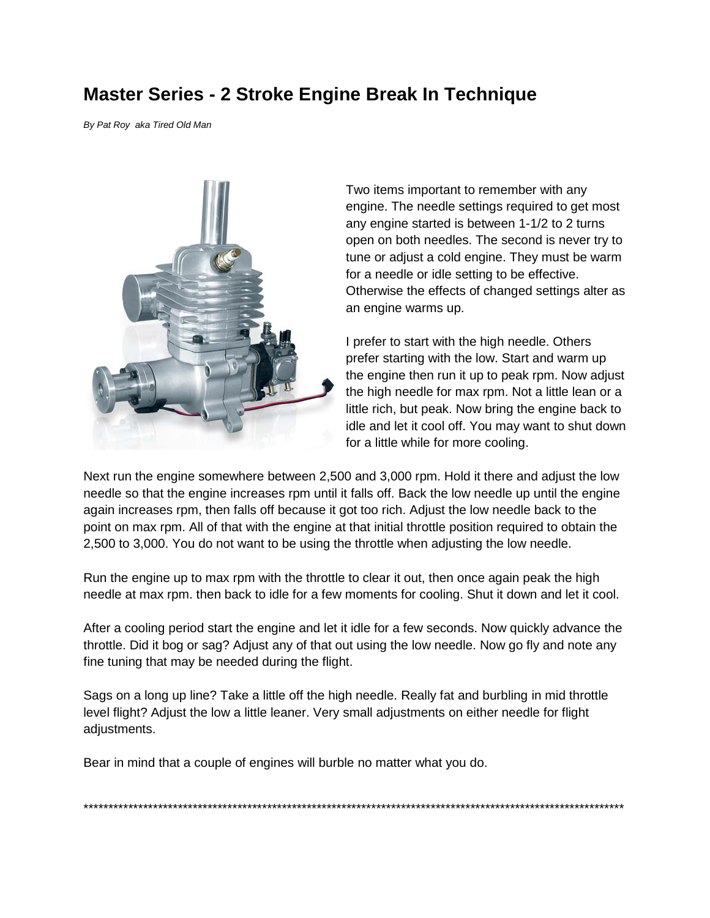## **Master Series - 2 Stroke Engine Break In Technique**

*By Pat Roy aka Tired Old Man*



Two items important to remember with any engine. The needle settings required to get most any engine started is between 1-1/2 to 2 turns open on both needles. The second is never try to tune or adjust a cold engine. They must be warm for a needle or idle setting to be effective. Otherwise the effects of changed settings alter as an engine warms up.

I prefer to start with the high needle. Others prefer starting with the low. Start and warm up the engine then run it up to peak rpm. Now adjust the high needle for max rpm. Not a little lean or a little rich, but peak. Now bring the engine back to idle and let it cool off. You may want to shut down for a little while for more cooling.

Next run the engine somewhere between 2,500 and 3,000 rpm. Hold it there and adjust the low needle so that the engine increases rpm until it falls off. Back the low needle up until the engine again increases rpm, then falls off because it got too rich. Adjust the low needle back to the point on max rpm. All of that with the engine at that initial throttle position required to obtain the 2,500 to 3,000. You do not want to be using the throttle when adjusting the low needle.

Run the engine up to max rpm with the throttle to clear it out, then once again peak the high needle at max rpm. then back to idle for a few moments for cooling. Shut it down and let it cool.

After a cooling period start the engine and let it idle for a few seconds. Now quickly advance the throttle. Did it bog or sag? Adjust any of that out using the low needle. Now go fly and note any fine tuning that may be needed during the flight.

Sags on a long up line? Take a little off the high needle. Really fat and burbling in mid throttle level flight? Adjust the low a little leaner. Very small adjustments on either needle for flight adjustments.

Bear in mind that a couple of engines will burble no matter what you do.

\*\*\*\*\*\*\*\*\*\*\*\*\*\*\*\*\*\*\*\*\*\*\*\*\*\*\*\*\*\*\*\*\*\*\*\*\*\*\*\*\*\*\*\*\*\*\*\*\*\*\*\*\*\*\*\*\*\*\*\*\*\*\*\*\*\*\*\*\*\*\*\*\*\*\*\*\*\*\*\*\*\*\*\*\*\*\*\*\*\*\*\*\*\*\*\*\*\*\*\*\*\*\*\*\*\*\*\*\*